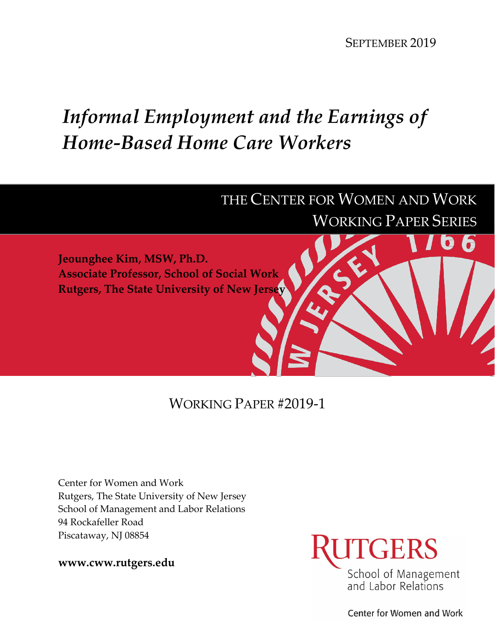SEPTEMBER 2019

# *Informal Employment and the Earnings of Home-Based Home Care Workers*

## THE CENTER FOR WOMEN AND WORK WORKING PAPER SERIES

**Jeounghee Kim, MSW, Ph.D. Associate Professor, School of Social Work Rutgers, The State University of New Jersey**

### WORKING PAPER #2019-1

Center for Women and Work Rutgers, The State University of New Jersey School of Management and Labor Relations 94 Rockafeller Road Piscataway, NJ 08854

**www.cww.rutgers.edu**



Center for Women and Work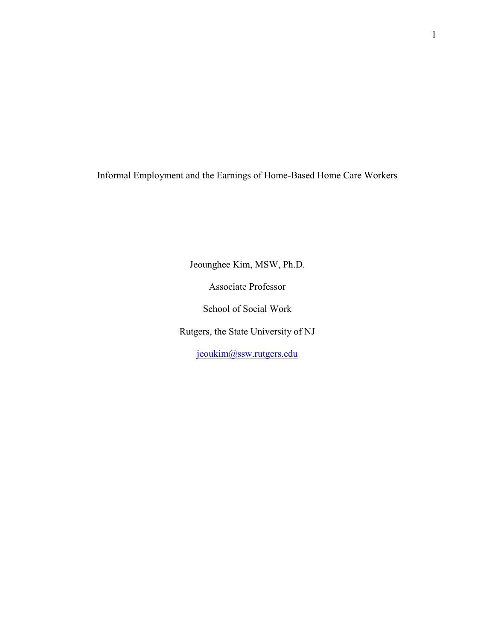Informal Employment and the Earnings of Home-Based Home Care Workers

Jeounghee Kim, MSW, Ph.D.

Associate Professor

School of Social Work

Rutgers, the State University of NJ

[jeoukim@ssw.rutgers.edu](mailto:jeoukim@ssw.rutgers.edu)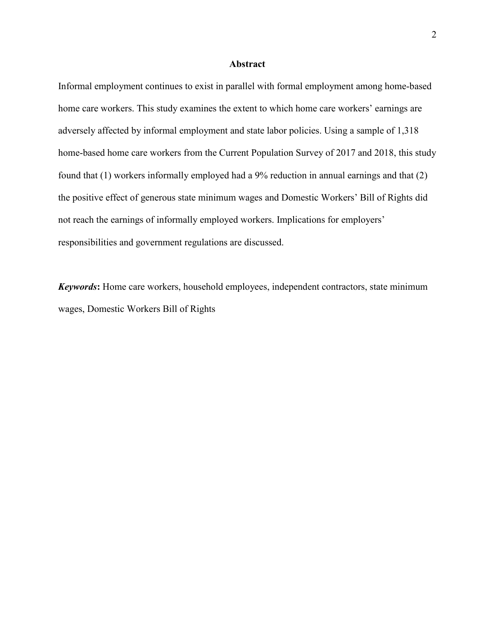#### **Abstract**

Informal employment continues to exist in parallel with formal employment among home-based home care workers. This study examines the extent to which home care workers' earnings are adversely affected by informal employment and state labor policies. Using a sample of 1,318 home-based home care workers from the Current Population Survey of 2017 and 2018, this study found that (1) workers informally employed had a 9% reduction in annual earnings and that (2) the positive effect of generous state minimum wages and Domestic Workers' Bill of Rights did not reach the earnings of informally employed workers. Implications for employers' responsibilities and government regulations are discussed.

*Keywords***:** Home care workers, household employees, independent contractors, state minimum wages, Domestic Workers Bill of Rights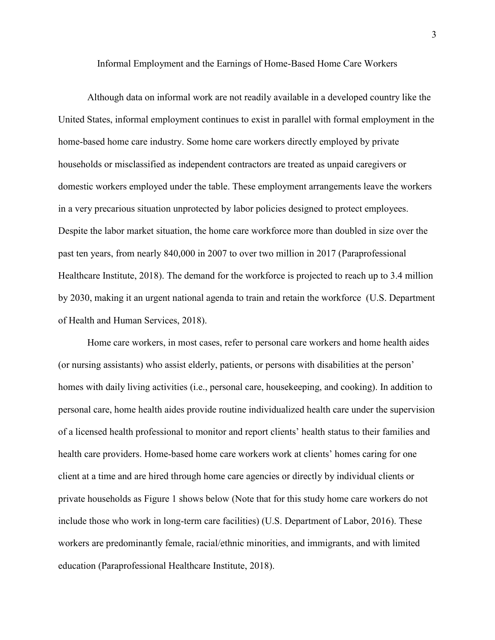Informal Employment and the Earnings of Home-Based Home Care Workers

Although data on informal work are not readily available in a developed country like the United States, informal employment continues to exist in parallel with formal employment in the home-based home care industry. Some home care workers directly employed by private households or misclassified as independent contractors are treated as unpaid caregivers or domestic workers employed under the table. These employment arrangements leave the workers in a very precarious situation unprotected by labor policies designed to protect employees. Despite the labor market situation, the home care workforce more than doubled in size over the past ten years, from nearly 840,000 in 2007 to over two million in 2017 (Paraprofessional Healthcare Institute, 2018). The demand for the workforce is projected to reach up to 3.4 million by 2030, making it an urgent national agenda to train and retain the workforce (U.S. Department of Health and Human Services, 2018).

Home care workers, in most cases, refer to personal care workers and home health aides (or nursing assistants) who assist elderly, patients, or persons with disabilities at the person' homes with daily living activities (i.e., personal care, housekeeping, and cooking). In addition to personal care, home health aides provide routine individualized health care under the supervision of a licensed health professional to monitor and report clients' health status to their families and health care providers. Home-based home care workers work at clients' homes caring for one client at a time and are hired through home care agencies or directly by individual clients or private households as Figure 1 shows below (Note that for this study home care workers do not include those who work in long-term care facilities) (U.S. Department of Labor, 2016). These workers are predominantly female, racial/ethnic minorities, and immigrants, and with limited education (Paraprofessional Healthcare Institute, 2018).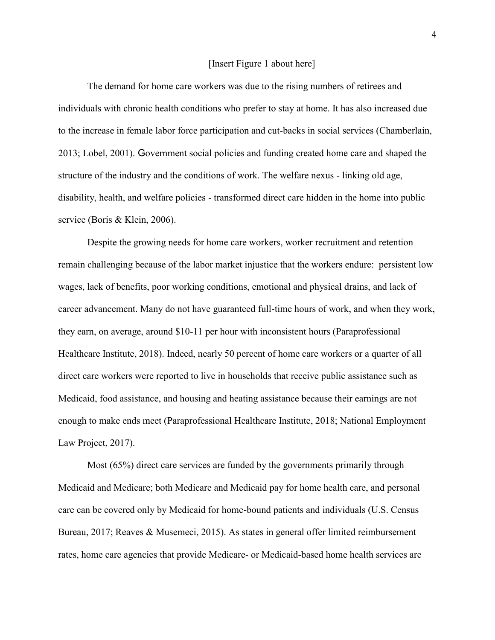#### [Insert Figure 1 about here]

The demand for home care workers was due to the rising numbers of retirees and individuals with chronic health conditions who prefer to stay at home. It has also increased due to the increase in female labor force participation and cut-backs in social services (Chamberlain, 2013; Lobel, 2001). Government social policies and funding created home care and shaped the structure of the industry and the conditions of work. The welfare nexus - linking old age, disability, health, and welfare policies - transformed direct care hidden in the home into public service (Boris & Klein, 2006).

Despite the growing needs for home care workers, worker recruitment and retention remain challenging because of the labor market injustice that the workers endure: persistent low wages, lack of benefits, poor working conditions, emotional and physical drains, and lack of career advancement. Many do not have guaranteed full-time hours of work, and when they work, they earn, on average, around \$10-11 per hour with inconsistent hours (Paraprofessional Healthcare Institute, 2018). Indeed, nearly 50 percent of home care workers or a quarter of all direct care workers were reported to live in households that receive public assistance such as Medicaid, food assistance, and housing and heating assistance because their earnings are not enough to make ends meet (Paraprofessional Healthcare Institute, 2018; National Employment Law Project, 2017).

Most (65%) direct care services are funded by the governments primarily through Medicaid and Medicare; both Medicare and Medicaid pay for home health care, and personal care can be covered only by Medicaid for home-bound patients and individuals (U.S. Census Bureau, 2017; Reaves & Musemeci, 2015). As states in general offer limited reimbursement rates, home care agencies that provide Medicare- or Medicaid-based home health services are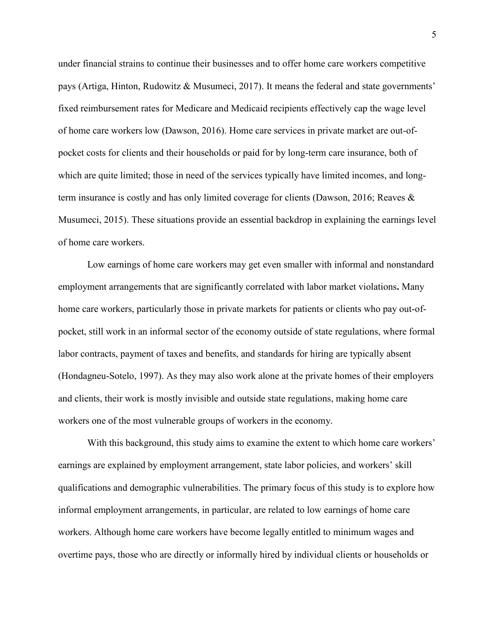under financial strains to continue their businesses and to offer home care workers competitive pays (Artiga, Hinton, Rudowitz & Musumeci, 2017). It means the federal and state governments' fixed reimbursement rates for Medicare and Medicaid recipients effectively cap the wage level of home care workers low (Dawson, 2016). Home care services in private market are out-ofpocket costs for clients and their households or paid for by long-term care insurance, both of which are quite limited; those in need of the services typically have limited incomes, and longterm insurance is costly and has only limited coverage for clients (Dawson, 2016; Reaves & Musumeci, 2015). These situations provide an essential backdrop in explaining the earnings level of home care workers.

Low earnings of home care workers may get even smaller with informal and nonstandard employment arrangements that are significantly correlated with labor market violations**.** Many home care workers, particularly those in private markets for patients or clients who pay out-ofpocket, still work in an informal sector of the economy outside of state regulations, where formal labor contracts, payment of taxes and benefits, and standards for hiring are typically absent (Hondagneu-Sotelo, 1997). As they may also work alone at the private homes of their employers and clients, their work is mostly invisible and outside state regulations, making home care workers one of the most vulnerable groups of workers in the economy.

With this background, this study aims to examine the extent to which home care workers' earnings are explained by employment arrangement, state labor policies, and workers' skill qualifications and demographic vulnerabilities. The primary focus of this study is to explore how informal employment arrangements, in particular, are related to low earnings of home care workers. Although home care workers have become legally entitled to minimum wages and overtime pays, those who are directly or informally hired by individual clients or households or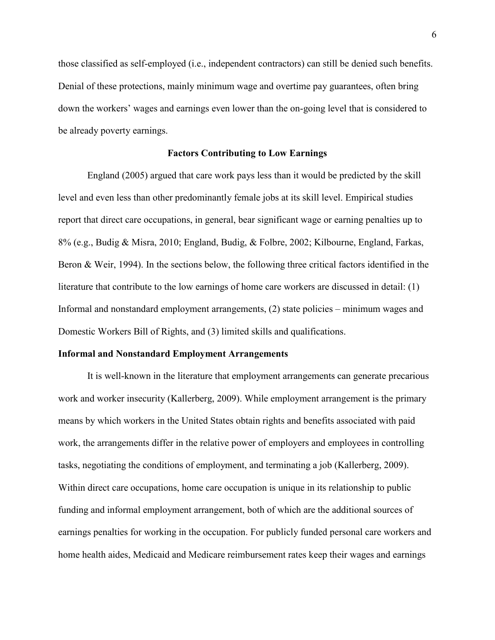those classified as self-employed (i.e., independent contractors) can still be denied such benefits. Denial of these protections, mainly minimum wage and overtime pay guarantees, often bring down the workers' wages and earnings even lower than the on-going level that is considered to be already poverty earnings.

#### **Factors Contributing to Low Earnings**

England (2005) argued that care work pays less than it would be predicted by the skill level and even less than other predominantly female jobs at its skill level. Empirical studies report that direct care occupations, in general, bear significant wage or earning penalties up to 8% (e.g., Budig & Misra, 2010; England, Budig, & Folbre, 2002; Kilbourne, England, Farkas, Beron & Weir, 1994). In the sections below, the following three critical factors identified in the literature that contribute to the low earnings of home care workers are discussed in detail: (1) Informal and nonstandard employment arrangements, (2) state policies – minimum wages and Domestic Workers Bill of Rights, and (3) limited skills and qualifications.

#### **Informal and Nonstandard Employment Arrangements**

It is well-known in the literature that employment arrangements can generate precarious work and worker insecurity (Kallerberg, 2009). While employment arrangement is the primary means by which workers in the United States obtain rights and benefits associated with paid work, the arrangements differ in the relative power of employers and employees in controlling tasks, negotiating the conditions of employment, and terminating a job (Kallerberg, 2009). Within direct care occupations, home care occupation is unique in its relationship to public funding and informal employment arrangement, both of which are the additional sources of earnings penalties for working in the occupation. For publicly funded personal care workers and home health aides, Medicaid and Medicare reimbursement rates keep their wages and earnings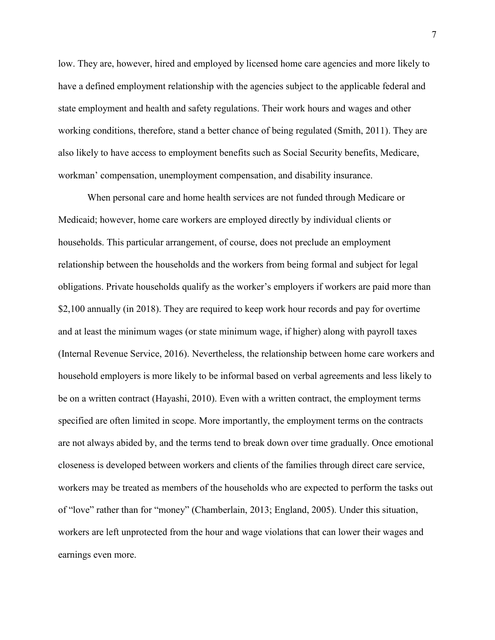low. They are, however, hired and employed by licensed home care agencies and more likely to have a defined employment relationship with the agencies subject to the applicable federal and state employment and health and safety regulations. Their work hours and wages and other working conditions, therefore, stand a better chance of being regulated (Smith, 2011). They are also likely to have access to employment benefits such as Social Security benefits, Medicare, workman' compensation, unemployment compensation, and disability insurance.

When personal care and home health services are not funded through Medicare or Medicaid; however, home care workers are employed directly by individual clients or households. This particular arrangement, of course, does not preclude an employment relationship between the households and the workers from being formal and subject for legal obligations. Private households qualify as the worker's employers if workers are paid more than \$2,100 annually (in 2018). They are required to keep work hour records and pay for overtime and at least the minimum wages (or state minimum wage, if higher) along with payroll taxes (Internal Revenue Service, 2016). Nevertheless, the relationship between home care workers and household employers is more likely to be informal based on verbal agreements and less likely to be on a written contract (Hayashi, 2010). Even with a written contract, the employment terms specified are often limited in scope. More importantly, the employment terms on the contracts are not always abided by, and the terms tend to break down over time gradually. Once emotional closeness is developed between workers and clients of the families through direct care service, workers may be treated as members of the households who are expected to perform the tasks out of "love" rather than for "money" (Chamberlain, 2013; England, 2005). Under this situation, workers are left unprotected from the hour and wage violations that can lower their wages and earnings even more.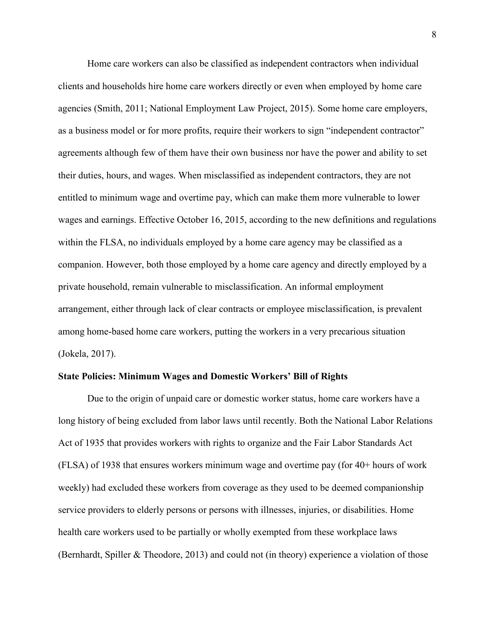Home care workers can also be classified as independent contractors when individual clients and households hire home care workers directly or even when employed by home care agencies (Smith, 2011; National Employment Law Project, 2015). Some home care employers, as a business model or for more profits, require their workers to sign "independent contractor" agreements although few of them have their own business nor have the power and ability to set their duties, hours, and wages. When misclassified as independent contractors, they are not entitled to minimum wage and overtime pay, which can make them more vulnerable to lower wages and earnings. Effective October 16, 2015, according to the new definitions and regulations within the FLSA, no individuals employed by a home care agency may be classified as a companion. However, both those employed by a home care agency and directly employed by a private household, remain vulnerable to misclassification. An informal employment arrangement, either through lack of clear contracts or employee misclassification, is prevalent among home-based home care workers, putting the workers in a very precarious situation (Jokela, 2017).

#### **State Policies: Minimum Wages and Domestic Workers' Bill of Rights**

Due to the origin of unpaid care or domestic worker status, home care workers have a long history of being excluded from labor laws until recently. Both the National Labor Relations Act of 1935 that provides workers with rights to organize and the Fair Labor Standards Act (FLSA) of 1938 that ensures workers minimum wage and overtime pay (for 40+ hours of work weekly) had excluded these workers from coverage as they used to be deemed companionship service providers to elderly persons or persons with illnesses, injuries, or disabilities. Home health care workers used to be partially or wholly exempted from these workplace laws (Bernhardt, Spiller & Theodore, 2013) and could not (in theory) experience a violation of those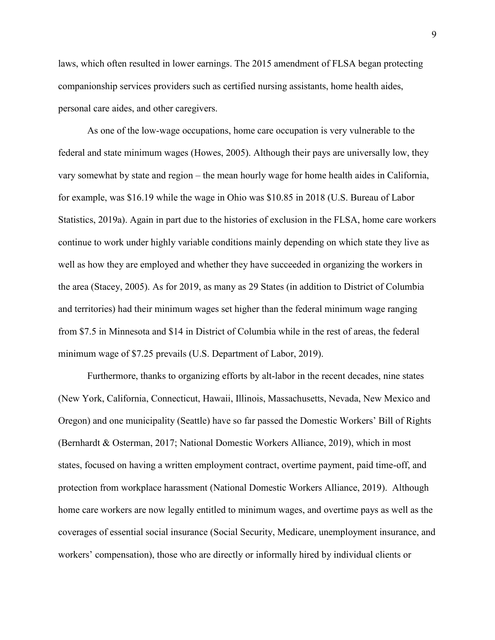laws, which often resulted in lower earnings. The 2015 amendment of FLSA began protecting companionship services providers such as certified nursing assistants, home health aides, personal care aides, and other caregivers.

As one of the low-wage occupations, home care occupation is very vulnerable to the federal and state minimum wages (Howes, 2005). Although their pays are universally low, they vary somewhat by state and region – the mean hourly wage for home health aides in California, for example, was \$16.19 while the wage in Ohio was \$10.85 in 2018 (U.S. Bureau of Labor Statistics, 2019a). Again in part due to the histories of exclusion in the FLSA, home care workers continue to work under highly variable conditions mainly depending on which state they live as well as how they are employed and whether they have succeeded in organizing the workers in the area (Stacey, 2005). As for 2019, as many as 29 States (in addition to District of Columbia and territories) had their minimum wages set higher than the federal minimum wage ranging from \$7.5 in Minnesota and \$14 in District of Columbia while in the rest of areas, the federal minimum wage of \$7.25 prevails (U.S. Department of Labor, 2019).

Furthermore, thanks to organizing efforts by alt-labor in the recent decades, nine states (New York, California, Connecticut, Hawaii, Illinois, Massachusetts, Nevada, New Mexico and Oregon) and one municipality (Seattle) have so far passed the Domestic Workers' Bill of Rights (Bernhardt & Osterman, 2017; National Domestic Workers Alliance, 2019), which in most states, focused on having a written employment contract, overtime payment, paid time-off, and protection from workplace harassment (National Domestic Workers Alliance, 2019). Although home care workers are now legally entitled to minimum wages, and overtime pays as well as the coverages of essential social insurance (Social Security, Medicare, unemployment insurance, and workers' compensation), those who are directly or informally hired by individual clients or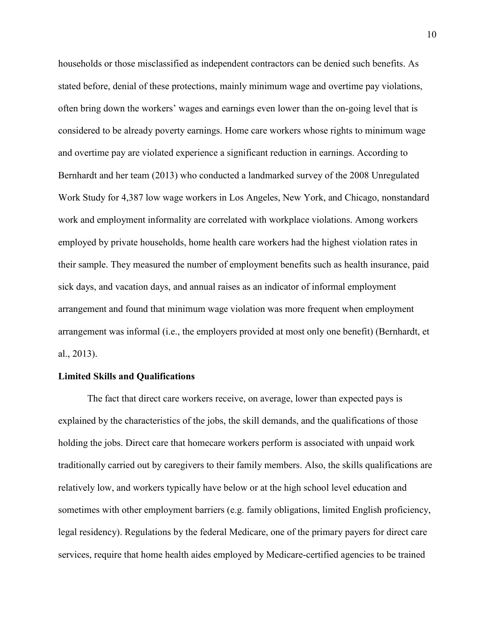households or those misclassified as independent contractors can be denied such benefits. As stated before, denial of these protections, mainly minimum wage and overtime pay violations, often bring down the workers' wages and earnings even lower than the on-going level that is considered to be already poverty earnings. Home care workers whose rights to minimum wage and overtime pay are violated experience a significant reduction in earnings. According to Bernhardt and her team (2013) who conducted a landmarked survey of the 2008 Unregulated Work Study for 4,387 low wage workers in Los Angeles, New York, and Chicago, nonstandard work and employment informality are correlated with workplace violations. Among workers employed by private households, home health care workers had the highest violation rates in their sample. They measured the number of employment benefits such as health insurance, paid sick days, and vacation days, and annual raises as an indicator of informal employment arrangement and found that minimum wage violation was more frequent when employment arrangement was informal (i.e., the employers provided at most only one benefit) (Bernhardt, et al., 2013).

#### **Limited Skills and Qualifications**

The fact that direct care workers receive, on average, lower than expected pays is explained by the characteristics of the jobs, the skill demands, and the qualifications of those holding the jobs. Direct care that homecare workers perform is associated with unpaid work traditionally carried out by caregivers to their family members. Also, the skills qualifications are relatively low, and workers typically have below or at the high school level education and sometimes with other employment barriers (e.g. family obligations, limited English proficiency, legal residency). Regulations by the federal Medicare, one of the primary payers for direct care services, require that home health aides employed by Medicare-certified agencies to be trained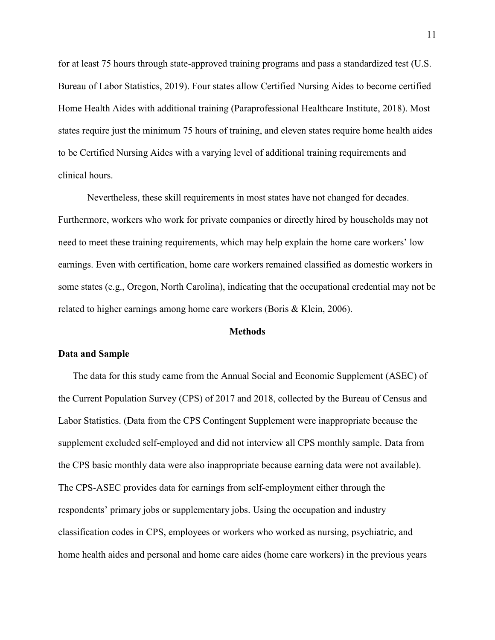for at least 75 hours through state-approved training programs and pass a standardized test (U.S. Bureau of Labor Statistics, 2019). Four states allow Certified Nursing Aides to become certified Home Health Aides with additional training (Paraprofessional Healthcare Institute, 2018). Most states require just the minimum 75 hours of training, and eleven states require home health aides to be Certified Nursing Aides with a varying level of additional training requirements and clinical hours.

Nevertheless, these skill requirements in most states have not changed for decades. Furthermore, workers who work for private companies or directly hired by households may not need to meet these training requirements, which may help explain the home care workers' low earnings. Even with certification, home care workers remained classified as domestic workers in some states (e.g., Oregon, North Carolina), indicating that the occupational credential may not be related to higher earnings among home care workers (Boris & Klein, 2006).

#### **Methods**

#### **Data and Sample**

The data for this study came from the Annual Social and Economic Supplement (ASEC) of the Current Population Survey (CPS) of 2017 and 2018, collected by the Bureau of Census and Labor Statistics. (Data from the CPS Contingent Supplement were inappropriate because the supplement excluded self-employed and did not interview all CPS monthly sample. Data from the CPS basic monthly data were also inappropriate because earning data were not available). The CPS-ASEC provides data for earnings from self-employment either through the respondents' primary jobs or supplementary jobs. Using the occupation and industry classification codes in CPS, employees or workers who worked as nursing, psychiatric, and home health aides and personal and home care aides (home care workers) in the previous years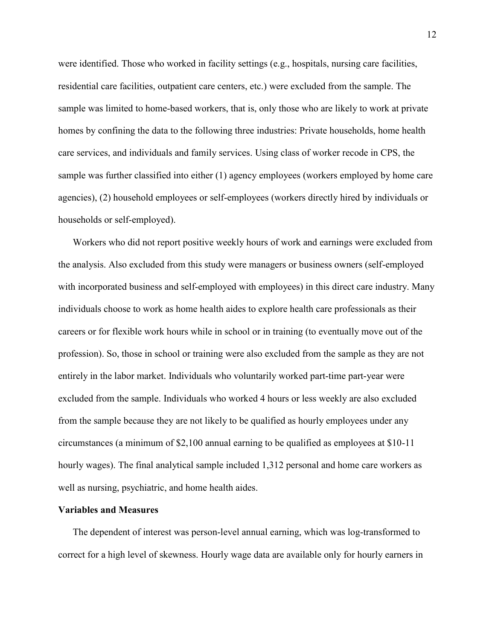were identified. Those who worked in facility settings (e.g., hospitals, nursing care facilities, residential care facilities, outpatient care centers, etc.) were excluded from the sample. The sample was limited to home-based workers, that is, only those who are likely to work at private homes by confining the data to the following three industries: Private households, home health care services, and individuals and family services. Using class of worker recode in CPS, the sample was further classified into either (1) agency employees (workers employed by home care agencies), (2) household employees or self-employees (workers directly hired by individuals or households or self-employed).

Workers who did not report positive weekly hours of work and earnings were excluded from the analysis. Also excluded from this study were managers or business owners (self-employed with incorporated business and self-employed with employees) in this direct care industry. Many individuals choose to work as home health aides to explore health care professionals as their careers or for flexible work hours while in school or in training (to eventually move out of the profession). So, those in school or training were also excluded from the sample as they are not entirely in the labor market. Individuals who voluntarily worked part-time part-year were excluded from the sample. Individuals who worked 4 hours or less weekly are also excluded from the sample because they are not likely to be qualified as hourly employees under any circumstances (a minimum of \$2,100 annual earning to be qualified as employees at \$10-11 hourly wages). The final analytical sample included 1,312 personal and home care workers as well as nursing, psychiatric, and home health aides.

#### **Variables and Measures**

The dependent of interest was person-level annual earning, which was log-transformed to correct for a high level of skewness. Hourly wage data are available only for hourly earners in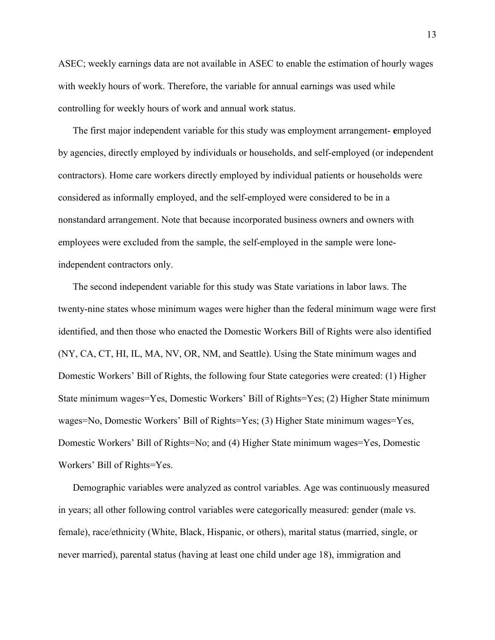ASEC; weekly earnings data are not available in ASEC to enable the estimation of hourly wages with weekly hours of work. Therefore, the variable for annual earnings was used while controlling for weekly hours of work and annual work status.

The first major independent variable for this study was employment arrangement- **e**mployed by agencies, directly employed by individuals or households, and self-employed (or independent contractors). Home care workers directly employed by individual patients or households were considered as informally employed, and the self-employed were considered to be in a nonstandard arrangement. Note that because incorporated business owners and owners with employees were excluded from the sample, the self-employed in the sample were loneindependent contractors only.

The second independent variable for this study was State variations in labor laws. The twenty-nine states whose minimum wages were higher than the federal minimum wage were first identified, and then those who enacted the Domestic Workers Bill of Rights were also identified (NY, CA, CT, HI, IL, MA, NV, OR, NM, and Seattle). Using the State minimum wages and Domestic Workers' Bill of Rights, the following four State categories were created: (1) Higher State minimum wages=Yes, Domestic Workers' Bill of Rights=Yes; (2) Higher State minimum wages=No, Domestic Workers' Bill of Rights=Yes; (3) Higher State minimum wages=Yes, Domestic Workers' Bill of Rights=No; and (4) Higher State minimum wages=Yes, Domestic Workers' Bill of Rights=Yes.

Demographic variables were analyzed as control variables. Age was continuously measured in years; all other following control variables were categorically measured: gender (male vs. female), race/ethnicity (White, Black, Hispanic, or others), marital status (married, single, or never married), parental status (having at least one child under age 18), immigration and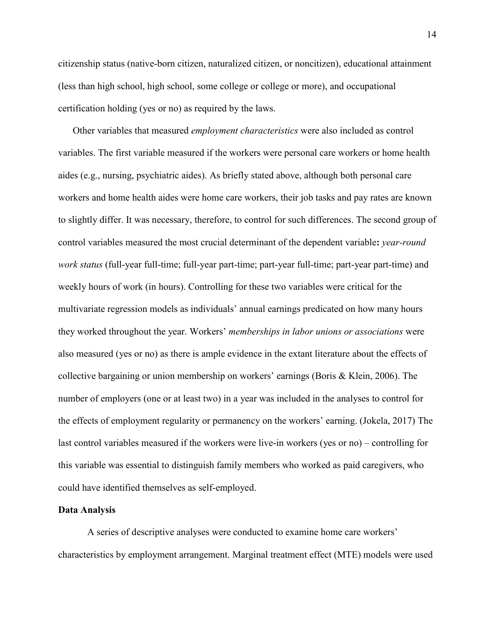citizenship status (native-born citizen, naturalized citizen, or noncitizen), educational attainment (less than high school, high school, some college or college or more), and occupational certification holding (yes or no) as required by the laws.

Other variables that measured *employment characteristics* were also included as control variables. The first variable measured if the workers were personal care workers or home health aides (e.g., nursing, psychiatric aides). As briefly stated above, although both personal care workers and home health aides were home care workers, their job tasks and pay rates are known to slightly differ. It was necessary, therefore, to control for such differences. The second group of control variables measured the most crucial determinant of the dependent variable**:** *year-round work status* (full-year full-time; full-year part-time; part-year full-time; part-year part-time) and weekly hours of work (in hours). Controlling for these two variables were critical for the multivariate regression models as individuals' annual earnings predicated on how many hours they worked throughout the year. Workers' *memberships in labor unions or associations* were also measured (yes or no) as there is ample evidence in the extant literature about the effects of collective bargaining or union membership on workers' earnings (Boris & Klein, 2006). The number of employers (one or at least two) in a year was included in the analyses to control for the effects of employment regularity or permanency on the workers' earning. (Jokela, 2017) The last control variables measured if the workers were live-in workers (yes or no) – controlling for this variable was essential to distinguish family members who worked as paid caregivers, who could have identified themselves as self-employed.

#### **Data Analysis**

A series of descriptive analyses were conducted to examine home care workers' characteristics by employment arrangement. Marginal treatment effect (MTE) models were used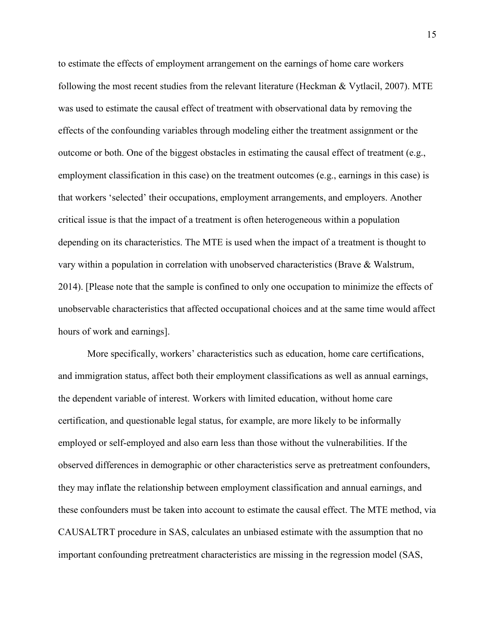to estimate the effects of employment arrangement on the earnings of home care workers following the most recent studies from the relevant literature (Heckman & Vytlacil, 2007). MTE was used to estimate the causal effect of treatment with observational data by removing the effects of the confounding variables through modeling either the treatment assignment or the outcome or both. One of the biggest obstacles in estimating the causal effect of treatment (e.g., employment classification in this case) on the treatment outcomes (e.g., earnings in this case) is that workers 'selected' their occupations, employment arrangements, and employers. Another critical issue is that the impact of a treatment is often heterogeneous within a population depending on its characteristics. The MTE is used when the impact of a treatment is thought to vary within a population in correlation with unobserved characteristics (Brave & Walstrum, 2014). [Please note that the sample is confined to only one occupation to minimize the effects of unobservable characteristics that affected occupational choices and at the same time would affect hours of work and earnings].

More specifically, workers' characteristics such as education, home care certifications, and immigration status, affect both their employment classifications as well as annual earnings, the dependent variable of interest. Workers with limited education, without home care certification, and questionable legal status, for example, are more likely to be informally employed or self-employed and also earn less than those without the vulnerabilities. If the observed differences in demographic or other characteristics serve as pretreatment confounders, they may inflate the relationship between employment classification and annual earnings, and these confounders must be taken into account to estimate the causal effect. The MTE method, via CAUSALTRT procedure in SAS, calculates an unbiased estimate with the assumption that no important confounding pretreatment characteristics are missing in the regression model (SAS,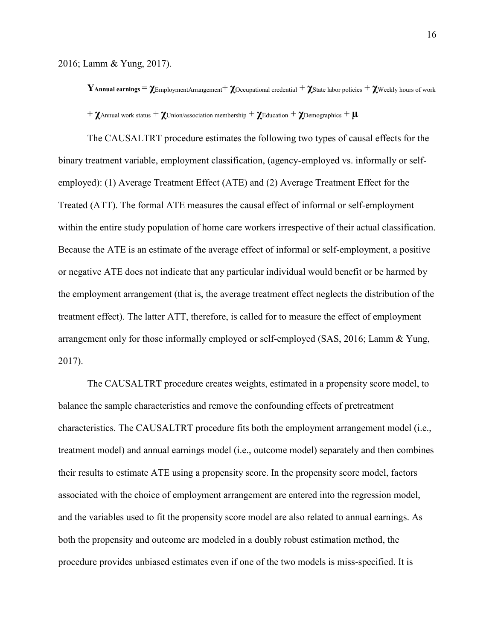2016; Lamm & Yung, 2017).

**Y**Annual earnings  $= \chi_{\text{EmploymentArrayement}} + \chi_{\text{Occupational credentials}} + \chi_{\text{State labor policies}} + \chi_{\text{Weakly hours of work}}$  $+ \chi$ Annual work status  $+ \chi$ Union/association membership  $+ \chi$ Education  $+ \chi$ Demographics  $+ \mu$ 

The CAUSALTRT procedure estimates the following two types of causal effects for the binary treatment variable, employment classification, (agency-employed vs. informally or selfemployed): (1) Average Treatment Effect (ATE) and (2) Average Treatment Effect for the Treated (ATT). The formal ATE measures the causal effect of informal or self-employment within the entire study population of home care workers irrespective of their actual classification. Because the ATE is an estimate of the average effect of informal or self-employment, a positive or negative ATE does not indicate that any particular individual would benefit or be harmed by the employment arrangement (that is, the average treatment effect neglects the distribution of the treatment effect). The latter ATT, therefore, is called for to measure the effect of employment arrangement only for those informally employed or self-employed (SAS, 2016; Lamm & Yung, 2017).

The CAUSALTRT procedure creates weights, estimated in a propensity score model, to balance the sample characteristics and remove the confounding effects of pretreatment characteristics. The CAUSALTRT procedure fits both the employment arrangement model (i.e., treatment model) and annual earnings model (i.e., outcome model) separately and then combines their results to estimate ATE using a propensity score. In the propensity score model, factors associated with the choice of employment arrangement are entered into the regression model, and the variables used to fit the propensity score model are also related to annual earnings. As both the propensity and outcome are modeled in a doubly robust estimation method, the procedure provides unbiased estimates even if one of the two models is miss-specified. It is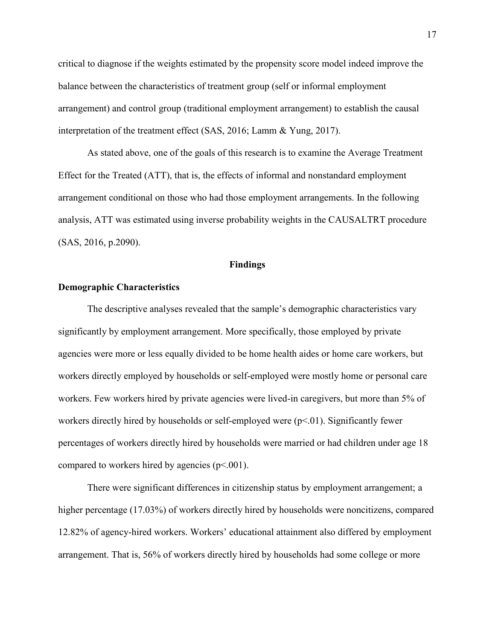critical to diagnose if the weights estimated by the propensity score model indeed improve the balance between the characteristics of treatment group (self or informal employment arrangement) and control group (traditional employment arrangement) to establish the causal interpretation of the treatment effect (SAS, 2016; Lamm & Yung, 2017).

As stated above, one of the goals of this research is to examine the Average Treatment Effect for the Treated (ATT), that is, the effects of informal and nonstandard employment arrangement conditional on those who had those employment arrangements. In the following analysis, ATT was estimated using inverse probability weights in the CAUSALTRT procedure (SAS, 2016, p.2090).

#### **Findings**

#### **Demographic Characteristics**

The descriptive analyses revealed that the sample's demographic characteristics vary significantly by employment arrangement. More specifically, those employed by private agencies were more or less equally divided to be home health aides or home care workers, but workers directly employed by households or self-employed were mostly home or personal care workers. Few workers hired by private agencies were lived-in caregivers, but more than 5% of workers directly hired by households or self-employed were  $(p<0.01)$ . Significantly fewer percentages of workers directly hired by households were married or had children under age 18 compared to workers hired by agencies (p<.001).

There were significant differences in citizenship status by employment arrangement; a higher percentage (17.03%) of workers directly hired by households were noncitizens, compared 12.82% of agency-hired workers. Workers' educational attainment also differed by employment arrangement. That is, 56% of workers directly hired by households had some college or more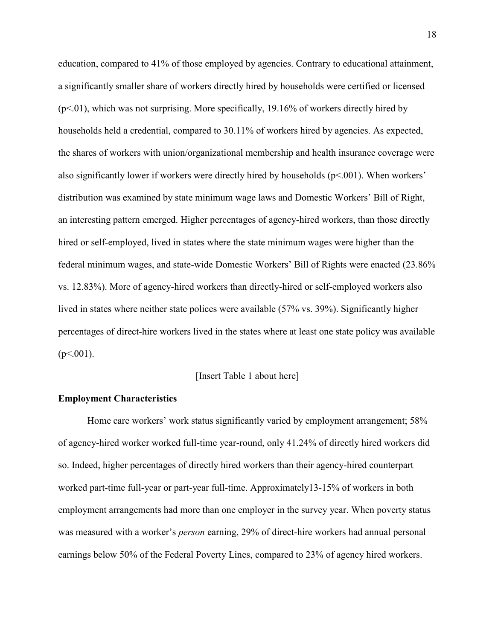education, compared to 41% of those employed by agencies. Contrary to educational attainment, a significantly smaller share of workers directly hired by households were certified or licensed  $(p<0.01)$ , which was not surprising. More specifically, 19.16% of workers directly hired by households held a credential, compared to 30.11% of workers hired by agencies. As expected, the shares of workers with union/organizational membership and health insurance coverage were also significantly lower if workers were directly hired by households (p<.001). When workers' distribution was examined by state minimum wage laws and Domestic Workers' Bill of Right, an interesting pattern emerged. Higher percentages of agency-hired workers, than those directly hired or self-employed, lived in states where the state minimum wages were higher than the federal minimum wages, and state-wide Domestic Workers' Bill of Rights were enacted (23.86% vs. 12.83%). More of agency-hired workers than directly-hired or self-employed workers also lived in states where neither state polices were available (57% vs. 39%). Significantly higher percentages of direct-hire workers lived in the states where at least one state policy was available  $(p<.001)$ .

#### [Insert Table 1 about here]

#### **Employment Characteristics**

Home care workers' work status significantly varied by employment arrangement; 58% of agency-hired worker worked full-time year-round, only 41.24% of directly hired workers did so. Indeed, higher percentages of directly hired workers than their agency-hired counterpart worked part-time full-year or part-year full-time. Approximately13-15% of workers in both employment arrangements had more than one employer in the survey year. When poverty status was measured with a worker's *person* earning, 29% of direct-hire workers had annual personal earnings below 50% of the Federal Poverty Lines, compared to 23% of agency hired workers.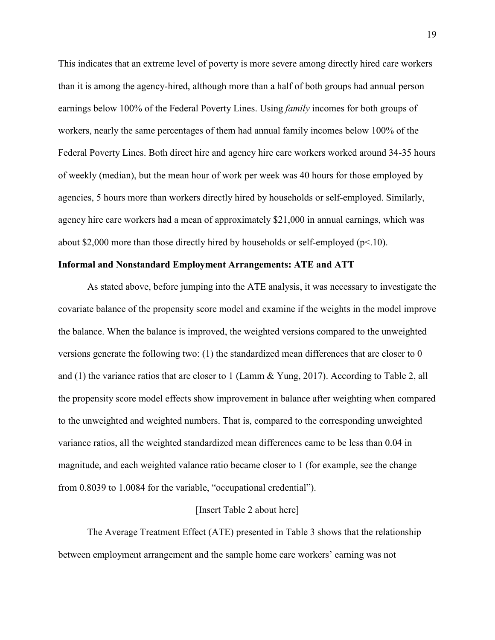This indicates that an extreme level of poverty is more severe among directly hired care workers than it is among the agency-hired, although more than a half of both groups had annual person earnings below 100% of the Federal Poverty Lines. Using *family* incomes for both groups of workers, nearly the same percentages of them had annual family incomes below 100% of the Federal Poverty Lines. Both direct hire and agency hire care workers worked around 34-35 hours of weekly (median), but the mean hour of work per week was 40 hours for those employed by agencies, 5 hours more than workers directly hired by households or self-employed. Similarly, agency hire care workers had a mean of approximately \$21,000 in annual earnings, which was about \$2,000 more than those directly hired by households or self-employed ( $p<10$ ).

#### **Informal and Nonstandard Employment Arrangements: ATE and ATT**

As stated above, before jumping into the ATE analysis, it was necessary to investigate the covariate balance of the propensity score model and examine if the weights in the model improve the balance. When the balance is improved, the weighted versions compared to the unweighted versions generate the following two: (1) the standardized mean differences that are closer to 0 and (1) the variance ratios that are closer to 1 (Lamm & Yung, 2017). According to Table 2, all the propensity score model effects show improvement in balance after weighting when compared to the unweighted and weighted numbers. That is, compared to the corresponding unweighted variance ratios, all the weighted standardized mean differences came to be less than 0.04 in magnitude, and each weighted valance ratio became closer to 1 (for example, see the change from 0.8039 to 1.0084 for the variable, "occupational credential").

#### [Insert Table 2 about here]

The Average Treatment Effect (ATE) presented in Table 3 shows that the relationship between employment arrangement and the sample home care workers' earning was not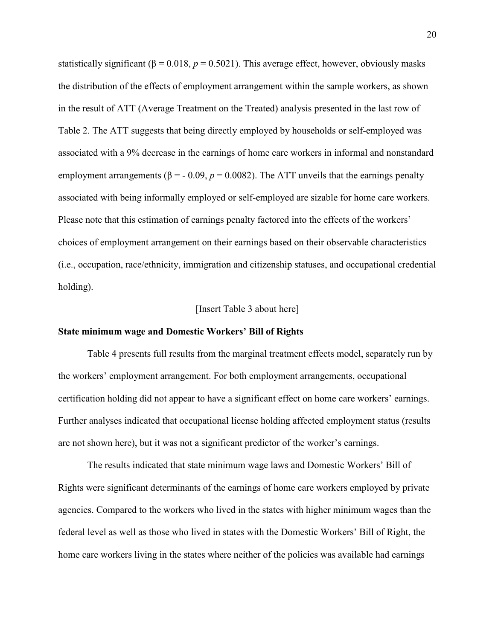statistically significant ( $\beta = 0.018$ ,  $p = 0.5021$ ). This average effect, however, obviously masks the distribution of the effects of employment arrangement within the sample workers, as shown in the result of ATT (Average Treatment on the Treated) analysis presented in the last row of Table 2. The ATT suggests that being directly employed by households or self-employed was associated with a 9% decrease in the earnings of home care workers in informal and nonstandard employment arrangements ( $\beta$  = - 0.09,  $p$  = 0.0082). The ATT unveils that the earnings penalty associated with being informally employed or self-employed are sizable for home care workers. Please note that this estimation of earnings penalty factored into the effects of the workers' choices of employment arrangement on their earnings based on their observable characteristics (i.e., occupation, race/ethnicity, immigration and citizenship statuses, and occupational credential holding).

#### [Insert Table 3 about here]

#### **State minimum wage and Domestic Workers' Bill of Rights**

Table 4 presents full results from the marginal treatment effects model, separately run by the workers' employment arrangement. For both employment arrangements, occupational certification holding did not appear to have a significant effect on home care workers' earnings. Further analyses indicated that occupational license holding affected employment status (results are not shown here), but it was not a significant predictor of the worker's earnings.

The results indicated that state minimum wage laws and Domestic Workers' Bill of Rights were significant determinants of the earnings of home care workers employed by private agencies. Compared to the workers who lived in the states with higher minimum wages than the federal level as well as those who lived in states with the Domestic Workers' Bill of Right, the home care workers living in the states where neither of the policies was available had earnings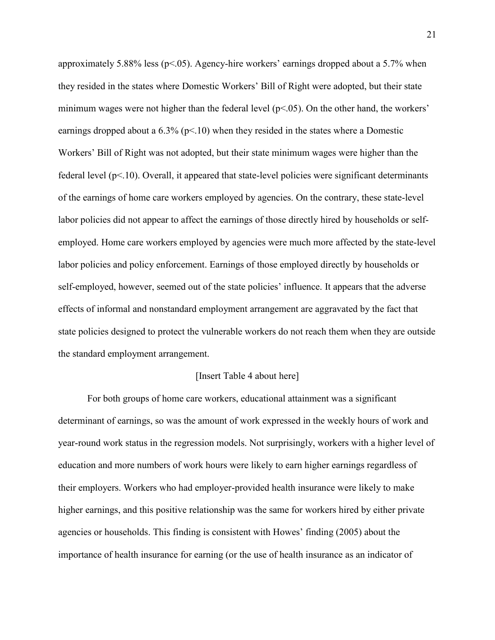approximately 5.88% less ( $p$ <.05). Agency-hire workers' earnings dropped about a 5.7% when they resided in the states where Domestic Workers' Bill of Right were adopted, but their state minimum wages were not higher than the federal level  $(p<0.05)$ . On the other hand, the workers' earnings dropped about a  $6.3\%$  (p<.10) when they resided in the states where a Domestic Workers' Bill of Right was not adopted, but their state minimum wages were higher than the federal level  $(p<10)$ . Overall, it appeared that state-level policies were significant determinants of the earnings of home care workers employed by agencies. On the contrary, these state-level labor policies did not appear to affect the earnings of those directly hired by households or selfemployed. Home care workers employed by agencies were much more affected by the state-level labor policies and policy enforcement. Earnings of those employed directly by households or self-employed, however, seemed out of the state policies' influence. It appears that the adverse effects of informal and nonstandard employment arrangement are aggravated by the fact that state policies designed to protect the vulnerable workers do not reach them when they are outside the standard employment arrangement.

#### [Insert Table 4 about here]

For both groups of home care workers, educational attainment was a significant determinant of earnings, so was the amount of work expressed in the weekly hours of work and year-round work status in the regression models. Not surprisingly, workers with a higher level of education and more numbers of work hours were likely to earn higher earnings regardless of their employers. Workers who had employer-provided health insurance were likely to make higher earnings, and this positive relationship was the same for workers hired by either private agencies or households. This finding is consistent with Howes' finding (2005) about the importance of health insurance for earning (or the use of health insurance as an indicator of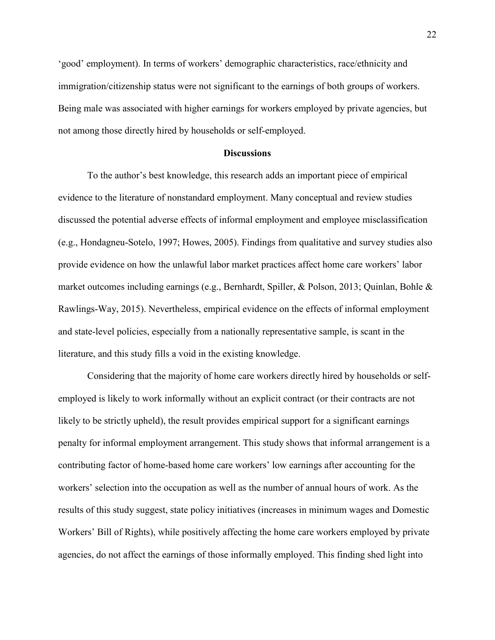'good' employment). In terms of workers' demographic characteristics, race/ethnicity and immigration/citizenship status were not significant to the earnings of both groups of workers. Being male was associated with higher earnings for workers employed by private agencies, but not among those directly hired by households or self-employed.

#### **Discussions**

To the author's best knowledge, this research adds an important piece of empirical evidence to the literature of nonstandard employment. Many conceptual and review studies discussed the potential adverse effects of informal employment and employee misclassification (e.g., Hondagneu-Sotelo, 1997; Howes, 2005). Findings from qualitative and survey studies also provide evidence on how the unlawful labor market practices affect home care workers' labor market outcomes including earnings (e.g., Bernhardt, Spiller, & Polson, 2013; Quinlan, Bohle & Rawlings-Way, 2015). Nevertheless, empirical evidence on the effects of informal employment and state-level policies, especially from a nationally representative sample, is scant in the literature, and this study fills a void in the existing knowledge.

Considering that the majority of home care workers directly hired by households or selfemployed is likely to work informally without an explicit contract (or their contracts are not likely to be strictly upheld), the result provides empirical support for a significant earnings penalty for informal employment arrangement. This study shows that informal arrangement is a contributing factor of home-based home care workers' low earnings after accounting for the workers' selection into the occupation as well as the number of annual hours of work. As the results of this study suggest, state policy initiatives (increases in minimum wages and Domestic Workers' Bill of Rights), while positively affecting the home care workers employed by private agencies, do not affect the earnings of those informally employed. This finding shed light into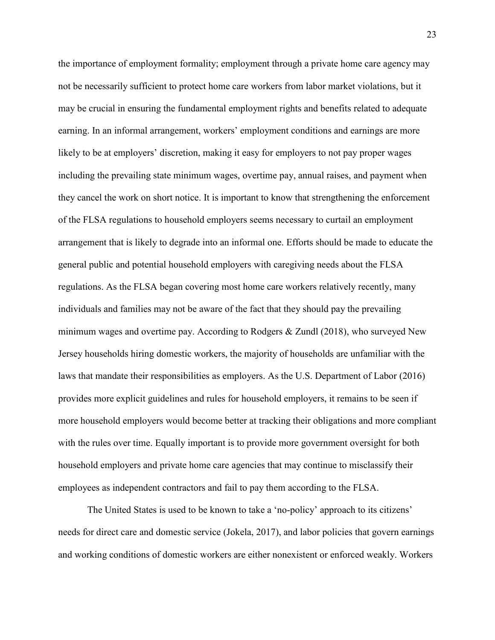the importance of employment formality; employment through a private home care agency may not be necessarily sufficient to protect home care workers from labor market violations, but it may be crucial in ensuring the fundamental employment rights and benefits related to adequate earning. In an informal arrangement, workers' employment conditions and earnings are more likely to be at employers' discretion, making it easy for employers to not pay proper wages including the prevailing state minimum wages, overtime pay, annual raises, and payment when they cancel the work on short notice. It is important to know that strengthening the enforcement of the FLSA regulations to household employers seems necessary to curtail an employment arrangement that is likely to degrade into an informal one. Efforts should be made to educate the general public and potential household employers with caregiving needs about the FLSA regulations. As the FLSA began covering most home care workers relatively recently, many individuals and families may not be aware of the fact that they should pay the prevailing minimum wages and overtime pay. According to Rodgers & Zundl (2018), who surveyed New Jersey households hiring domestic workers, the majority of households are unfamiliar with the laws that mandate their responsibilities as employers. As the U.S. Department of Labor (2016) provides more explicit guidelines and rules for household employers, it remains to be seen if more household employers would become better at tracking their obligations and more compliant with the rules over time. Equally important is to provide more government oversight for both household employers and private home care agencies that may continue to misclassify their employees as independent contractors and fail to pay them according to the FLSA.

The United States is used to be known to take a 'no-policy' approach to its citizens' needs for direct care and domestic service (Jokela, 2017), and labor policies that govern earnings and working conditions of domestic workers are either nonexistent or enforced weakly. Workers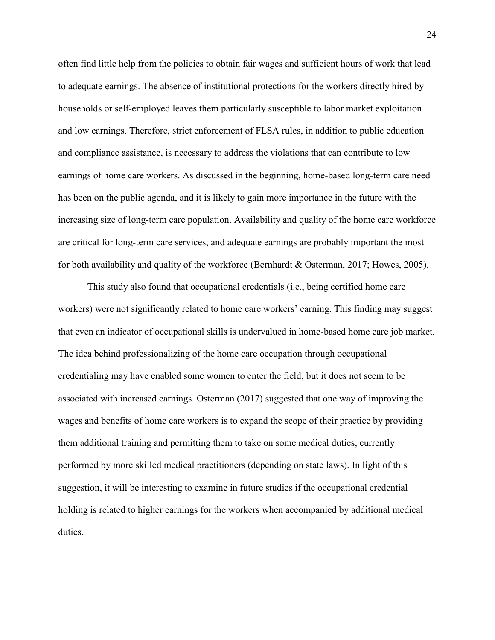often find little help from the policies to obtain fair wages and sufficient hours of work that lead to adequate earnings. The absence of institutional protections for the workers directly hired by households or self-employed leaves them particularly susceptible to labor market exploitation and low earnings. Therefore, strict enforcement of FLSA rules, in addition to public education and compliance assistance, is necessary to address the violations that can contribute to low earnings of home care workers. As discussed in the beginning, home-based long-term care need has been on the public agenda, and it is likely to gain more importance in the future with the increasing size of long-term care population. Availability and quality of the home care workforce are critical for long-term care services, and adequate earnings are probably important the most for both availability and quality of the workforce (Bernhardt & Osterman, 2017; Howes, 2005).

This study also found that occupational credentials (i.e., being certified home care workers) were not significantly related to home care workers' earning. This finding may suggest that even an indicator of occupational skills is undervalued in home-based home care job market. The idea behind professionalizing of the home care occupation through occupational credentialing may have enabled some women to enter the field, but it does not seem to be associated with increased earnings. Osterman (2017) suggested that one way of improving the wages and benefits of home care workers is to expand the scope of their practice by providing them additional training and permitting them to take on some medical duties, currently performed by more skilled medical practitioners (depending on state laws). In light of this suggestion, it will be interesting to examine in future studies if the occupational credential holding is related to higher earnings for the workers when accompanied by additional medical duties.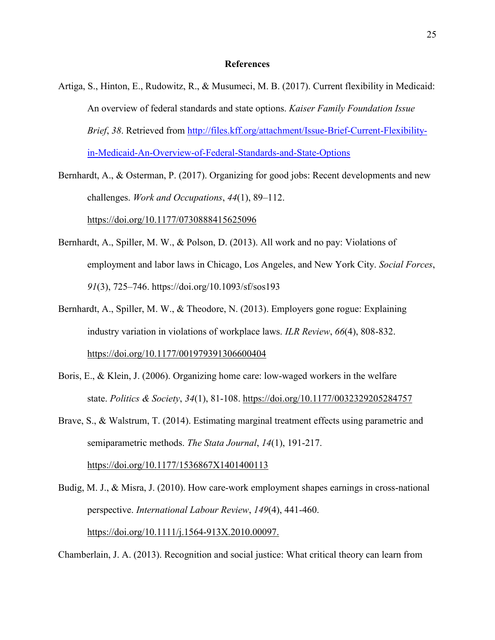#### **References**

Artiga, S., Hinton, E., Rudowitz, R., & Musumeci, M. B. (2017). Current flexibility in Medicaid: An overview of federal standards and state options. *Kaiser Family Foundation Issue Brief*, *38*. Retrieved from [http://files.kff.org/attachment/Issue-Brief-Current-Flexibility](http://files.kff.org/attachment/Issue-Brief-Current-Flexibility-in-Medicaid-An-Overview-of-Federal-Standards-and-State-Options)[in-Medicaid-An-Overview-of-Federal-Standards-and-State-Options](http://files.kff.org/attachment/Issue-Brief-Current-Flexibility-in-Medicaid-An-Overview-of-Federal-Standards-and-State-Options)

Bernhardt, A., & Osterman, P. (2017). Organizing for good jobs: Recent developments and new challenges. *Work and Occupations*, *44*(1), 89–112.

<https://doi.org/10.1177/0730888415625096>

- Bernhardt, A., Spiller, M. W., & Polson, D. (2013). All work and no pay: Violations of employment and labor laws in Chicago, Los Angeles, and New York City. *Social Forces*, *91*(3), 725–746. https://doi.org/10.1093/sf/sos193
- Bernhardt, A., Spiller, M. W., & Theodore, N. (2013). Employers gone rogue: Explaining industry variation in violations of workplace laws. *ILR Review*, *66*(4), 808-832. [https://doi.org/10.1177/001979391306600404](https://doi.org/10.1177%2F001979391306600404)
- Boris, E., & Klein, J. (2006). Organizing home care: low-waged workers in the welfare state. *Politics & Society*, *34*(1), 81-108. [https://doi.org/10.1177/0032329205284757](https://doi.org/10.1177%2F0032329205284757)
- Brave, S., & Walstrum, T. (2014). Estimating marginal treatment effects using parametric and semiparametric methods. *The Stata Journal*, *14*(1), 191-217. [https://doi.org/10.1177/1536867X1401400113](https://doi.org/10.1177%2F1536867X1401400113)
- Budig, M. J., & Misra, J. (2010). How care-work employment shapes earnings in cross-national perspective. *International Labour Review*, *149*(4), 441-460. [https://doi.org/10.1111/j.1564-913X.2010.00097.](https://doi.org/10.1111/j.1564-913X.2010.00097.x)

Chamberlain, J. A. (2013). Recognition and social justice: What critical theory can learn from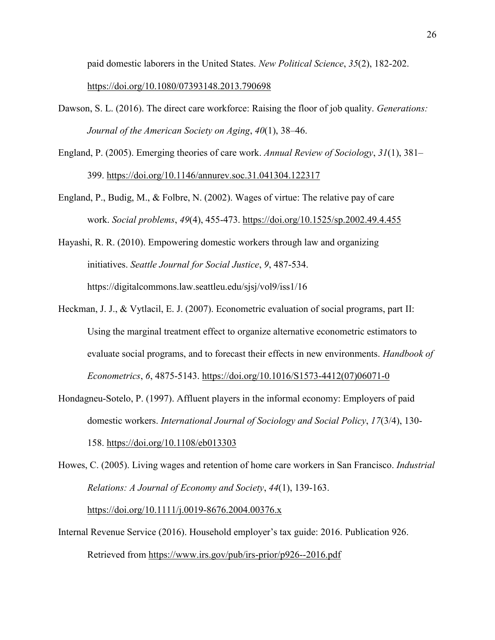paid domestic laborers in the United States. *New Political Science*, *35*(2), 182-202.

#### <https://doi.org/10.1080/07393148.2013.790698>

- Dawson, S. L. (2016). The direct care workforce: Raising the floor of job quality. *Generations: Journal of the American Society on Aging*, *40*(1), 38–46.
- England, P. (2005). Emerging theories of care work. *Annual Review of Sociology*, *31*(1), 381– 399.<https://doi.org/10.1146/annurev.soc.31.041304.122317>
- England, P., Budig, M., & Folbre, N. (2002). Wages of virtue: The relative pay of care work. *Social problems*, *49*(4), 455-473. <https://doi.org/10.1525/sp.2002.49.4.455>
- Hayashi, R. R. (2010). Empowering domestic workers through law and organizing initiatives. *Seattle Journal for Social Justice*, *9*, 487-534. https://digitalcommons.law.seattleu.edu/sjsj/vol9/iss1/16
- Heckman, J. J., & Vytlacil, E. J. (2007). Econometric evaluation of social programs, part II: Using the marginal treatment effect to organize alternative econometric estimators to evaluate social programs, and to forecast their effects in new environments. *Handbook of Econometrics*, *6*, 4875-5143. [https://doi.org/10.1016/S1573-4412\(07\)06071-0](https://doi.org/10.1016/S1573-4412(07)06071-0)
- Hondagneu-Sotelo, P. (1997). Affluent players in the informal economy: Employers of paid domestic workers. *International Journal of Sociology and Social Policy*, *17*(3/4), 130- 158. <https://doi.org/10.1108/eb013303>
- Howes, C. (2005). Living wages and retention of home care workers in San Francisco. *Industrial Relations: A Journal of Economy and Society*, *44*(1), 139-163.

<https://doi.org/10.1111/j.0019-8676.2004.00376.x>

Internal Revenue Service (2016). Household employer's tax guide: 2016. Publication 926. Retrieved from<https://www.irs.gov/pub/irs-prior/p926--2016.pdf>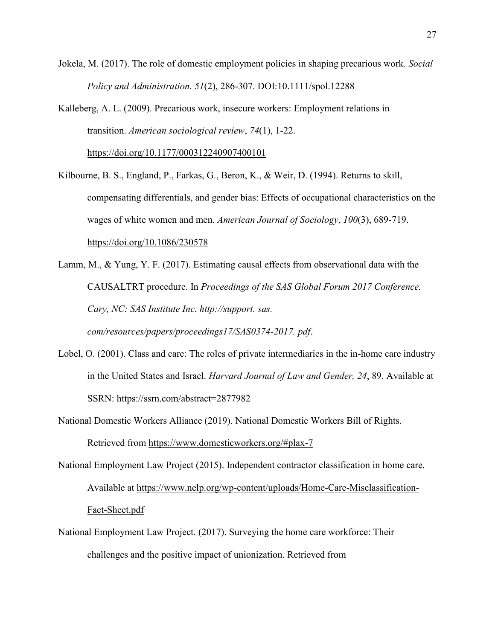Jokela, M. (2017). The role of domestic employment policies in shaping precarious work. *Social Policy and Administration. 51*(2), 286-307. DOI:10.1111/spol.12288

Kalleberg, A. L. (2009). Precarious work, insecure workers: Employment relations in transition. *American sociological review*, *74*(1), 1-22.

[https://doi.org/10.1177/000312240907400101](https://doi.org/10.1177%2F000312240907400101)

- Kilbourne, B. S., England, P., Farkas, G., Beron, K., & Weir, D. (1994). Returns to skill, compensating differentials, and gender bias: Effects of occupational characteristics on the wages of white women and men. *American Journal of Sociology*, *100*(3), 689-719. <https://doi.org/10.1086/230578>
- Lamm, M., & Yung, Y. F. (2017). Estimating causal effects from observational data with the CAUSALTRT procedure. In *Proceedings of the SAS Global Forum 2017 Conference. Cary, NC: SAS Institute Inc. http://support. sas. com/resources/papers/proceedings17/SAS0374-2017. pdf*.
- Lobel, O. (2001). Class and care: The roles of private intermediaries in the in-home care industry in the United States and Israel. *Harvard Journal of Law and Gender, 24*, 89. Available at SSRN: <https://ssrn.com/abstract=2877982>
- National Domestic Workers Alliance (2019). National Domestic Workers Bill of Rights. Retrieved from<https://www.domesticworkers.org/#plax-7>
- National Employment Law Project (2015). Independent contractor classification in home care. Available at [https://www.nelp.org/wp-content/uploads/Home-Care-Misclassification-](https://www.nelp.org/wp-content/uploads/Home-Care-Misclassification-Fact-Sheet.pdf)[Fact-Sheet.pdf](https://www.nelp.org/wp-content/uploads/Home-Care-Misclassification-Fact-Sheet.pdf)
- National Employment Law Project. (2017). Surveying the home care workforce: Their challenges and the positive impact of unionization. Retrieved from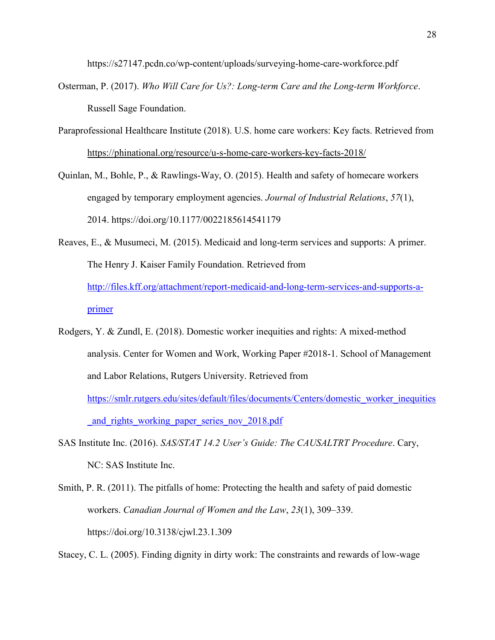https://s27147.pcdn.co/wp-content/uploads/surveying-home-care-workforce.pdf

- Osterman, P. (2017). *Who Will Care for Us?: Long-term Care and the Long-term Workforce*. Russell Sage Foundation.
- Paraprofessional Healthcare Institute (2018). U.S. home care workers: Key facts. Retrieved from <https://phinational.org/resource/u-s-home-care-workers-key-facts-2018/>
- Quinlan, M., Bohle, P., & Rawlings-Way, O. (2015). Health and safety of homecare workers engaged by temporary employment agencies. *Journal of Industrial Relations*, *57*(1), 2014. https://doi.org/10.1177/0022185614541179
- Reaves, E., & Musumeci, M. (2015). Medicaid and long-term services and supports: A primer. The Henry J. Kaiser Family Foundation. Retrieved from [http://files.kff.org/attachment/report-medicaid-and-long-term-services-and-supports-a](http://files.kff.org/attachment/report-medicaid-and-long-term-services-and-supports-a-primer)[primer](http://files.kff.org/attachment/report-medicaid-and-long-term-services-and-supports-a-primer)
- Rodgers, Y. & Zundl, E. (2018). Domestic worker inequities and rights: A mixed-method analysis. Center for Women and Work, Working Paper #2018-1. School of Management and Labor Relations, Rutgers University. Retrieved from [https://smlr.rutgers.edu/sites/default/files/documents/Centers/domestic\\_worker\\_inequities](https://smlr.rutgers.edu/sites/default/files/documents/Centers/domestic_worker_inequities_and_rights_working_paper_series_nov_2018.pdf) and rights working paper series nov 2018.pdf
- SAS Institute Inc. (2016). *SAS/STAT 14.2 User's Guide: The CAUSALTRT Procedure*. Cary, NC: SAS Institute Inc.
- Smith, P. R. (2011). The pitfalls of home: Protecting the health and safety of paid domestic workers. *Canadian Journal of Women and the Law*, *23*(1), 309–339. https://doi.org/10.3138/cjwl.23.1.309

Stacey, C. L. (2005). Finding dignity in dirty work: The constraints and rewards of low‐wage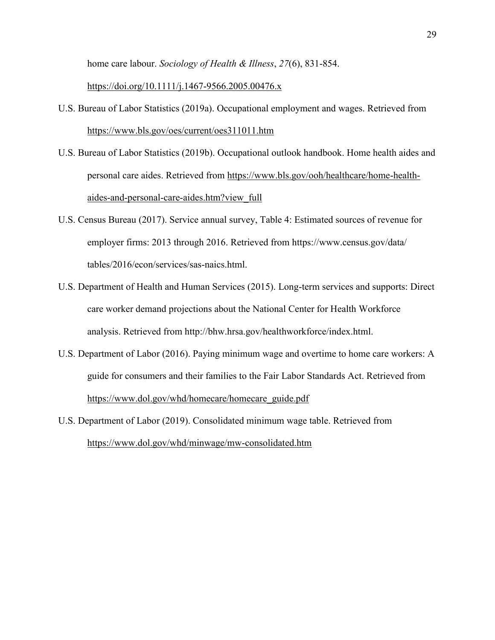home care labour. *Sociology of Health & Illness*, *27*(6), 831-854.

<https://doi.org/10.1111/j.1467-9566.2005.00476.x>

- U.S. Bureau of Labor Statistics (2019a). Occupational employment and wages. Retrieved from <https://www.bls.gov/oes/current/oes311011.htm>
- U.S. Bureau of Labor Statistics (2019b). Occupational outlook handbook. Home health aides and personal care aides. Retrieved from [https://www.bls.gov/ooh/healthcare/home-health](https://www.bls.gov/ooh/healthcare/home-health-aides-and-personal-care-aides.htm?view_full)[aides-and-personal-care-aides.htm?view\\_full](https://www.bls.gov/ooh/healthcare/home-health-aides-and-personal-care-aides.htm?view_full)
- U.S. Census Bureau (2017). Service annual survey, Table 4: Estimated sources of revenue for employer firms: 2013 through 2016. Retrieved from https://www.census.gov/data/ tables/2016/econ/services/sas-naics.html.
- U.S. Department of Health and Human Services (2015). Long-term services and supports: Direct care worker demand projections about the National Center for Health Workforce analysis. Retrieved from http://bhw.hrsa.gov/healthworkforce/index.html.
- U.S. Department of Labor (2016). Paying minimum wage and overtime to home care workers: A guide for consumers and their families to the Fair Labor Standards Act. Retrieved from [https://www.dol.gov/whd/homecare/homecare\\_guide.pdf](https://www.dol.gov/whd/homecare/homecare_guide.pdf)
- U.S. Department of Labor (2019). Consolidated minimum wage table. Retrieved from <https://www.dol.gov/whd/minwage/mw-consolidated.htm>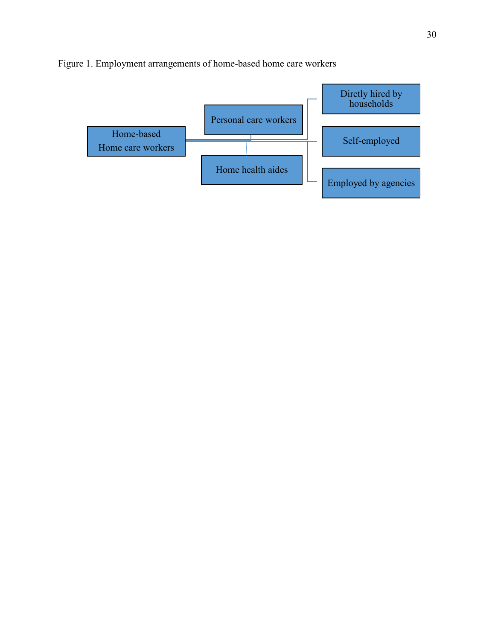

#### Figure 1. Employment arrangements of home-based home care workers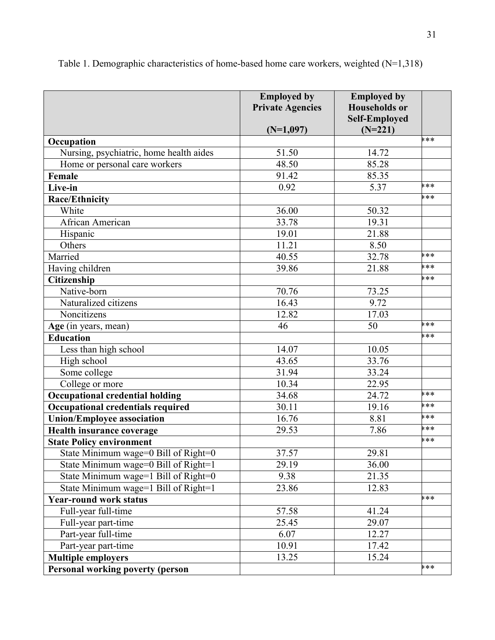|                                         | <b>Employed by</b><br><b>Private Agencies</b><br>$(N=1,097)$ | <b>Employed by</b><br><b>Households</b> or<br><b>Self-Employed</b><br>$(N=221)$ |            |
|-----------------------------------------|--------------------------------------------------------------|---------------------------------------------------------------------------------|------------|
| Occupation                              |                                                              |                                                                                 | <b>***</b> |
| Nursing, psychiatric, home health aides | 51.50                                                        | 14.72                                                                           |            |
| Home or personal care workers           | 48.50                                                        | 85.28                                                                           |            |
| Female                                  | 91.42                                                        | 85.35                                                                           |            |
| Live-in                                 | 0.92                                                         | 5.37                                                                            | ***        |
| <b>Race/Ethnicity</b>                   |                                                              |                                                                                 | ***        |
| White                                   | 36.00                                                        | 50.32                                                                           |            |
| African American                        | 33.78                                                        | 19.31                                                                           |            |
| Hispanic                                | 19.01                                                        | 21.88                                                                           |            |
| Others                                  | 11.21                                                        | 8.50                                                                            |            |
| Married                                 | 40.55                                                        | 32.78                                                                           | ***        |
| Having children                         | 39.86                                                        | 21.88                                                                           | ***        |
| Citizenship                             |                                                              |                                                                                 | ***        |
| Native-born                             | 70.76                                                        | 73.25                                                                           |            |
| Naturalized citizens                    | 16.43                                                        | 9.72                                                                            |            |
| Noncitizens                             | 12.82                                                        | 17.03                                                                           |            |
| Age (in years, mean)                    | 46                                                           | 50                                                                              | ***        |
| <b>Education</b>                        |                                                              |                                                                                 | ***        |
| Less than high school                   | 14.07                                                        | 10.05                                                                           |            |
| High school                             | 43.65                                                        | 33.76                                                                           |            |
| Some college                            | 31.94                                                        | 33.24                                                                           |            |
| College or more                         | 10.34                                                        | 22.95                                                                           |            |
| <b>Occupational credential holding</b>  | 34.68                                                        | 24.72                                                                           | <b>***</b> |
| Occupational credentials required       | 30.11                                                        | 19.16                                                                           | ***        |
| <b>Union/Employee association</b>       | 16.76                                                        | 8.81                                                                            | ***        |
| Health insurance coverage               | 29.53                                                        | 7.86                                                                            | ***        |
| <b>State Policy environment</b>         |                                                              |                                                                                 | ***        |
| State Minimum wage=0 Bill of Right=0    | 37.57                                                        | 29.81                                                                           |            |
| State Minimum wage=0 Bill of Right=1    | 29.19                                                        | 36.00                                                                           |            |
| State Minimum wage=1 Bill of Right=0    | 9.38                                                         | 21.35                                                                           |            |
| State Minimum wage=1 Bill of Right=1    | 23.86                                                        | 12.83                                                                           |            |
| <b>Year-round work status</b>           |                                                              |                                                                                 | ***        |
| Full-year full-time                     | 57.58                                                        | 41.24                                                                           |            |
| Full-year part-time                     | 25.45                                                        | 29.07                                                                           |            |
| Part-year full-time                     | 6.07                                                         | 12.27                                                                           |            |
| Part-year part-time                     | 10.91                                                        | 17.42                                                                           |            |
| <b>Multiple employers</b>               | 13.25                                                        | 15.24                                                                           |            |
| <b>Personal working poverty (person</b> |                                                              |                                                                                 | ***        |

Table 1. Demographic characteristics of home-based home care workers, weighted (N=1,318)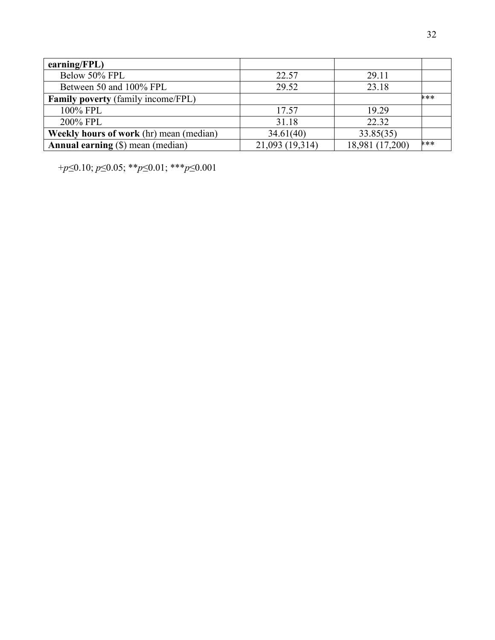| $\mathbf{earning}(\mathbf{FPL})$               |                 |                 |            |
|------------------------------------------------|-----------------|-----------------|------------|
| Below 50% FPL                                  | 22.57           | 29.11           |            |
| Between 50 and 100% FPL                        | 29.52           | 23.18           |            |
| <b>Family poverty</b> (family income/FPL)      |                 |                 | <b>***</b> |
| 100% FPL                                       | 17.57           | 19.29           |            |
| 200% FPL                                       | 31.18           | 22.32           |            |
| <b>Weekly hours of work</b> (hr) mean (median) | 34.61(40)       | 33.85(35)       |            |
| <b>Annual earning</b> (\$) mean (median)       | 21,093 (19,314) | 18,981 (17,200) | <b>***</b> |

+*p*≤0.10; *p*≤0.05; \*\**p*≤0.01; \*\*\**p*≤0.001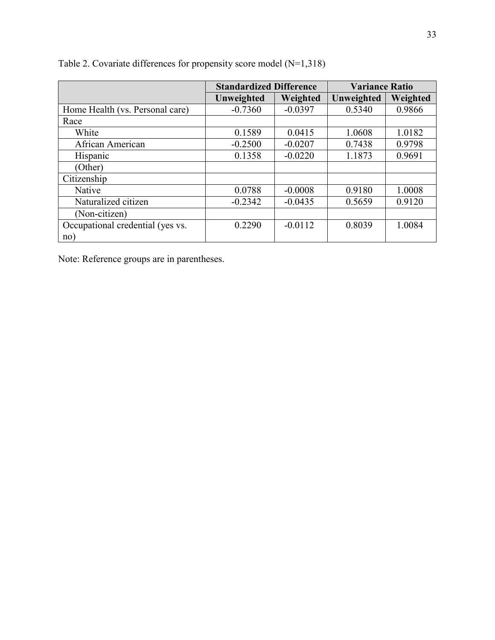|                                  | <b>Standardized Difference</b> |           | <b>Variance Ratio</b> |          |  |
|----------------------------------|--------------------------------|-----------|-----------------------|----------|--|
|                                  | Unweighted                     | Weighted  | Unweighted            | Weighted |  |
| Home Health (vs. Personal care)  | $-0.7360$                      | $-0.0397$ | 0.5340                | 0.9866   |  |
| Race                             |                                |           |                       |          |  |
| White                            | 0.1589                         | 0.0415    | 1.0608                | 1.0182   |  |
| African American                 | $-0.2500$                      | $-0.0207$ | 0.7438                | 0.9798   |  |
| Hispanic                         | 0.1358                         | $-0.0220$ | 1.1873                | 0.9691   |  |
| (Other)                          |                                |           |                       |          |  |
| Citizenship                      |                                |           |                       |          |  |
| Native                           | 0.0788                         | $-0.0008$ | 0.9180                | 1.0008   |  |
| Naturalized citizen              | $-0.2342$                      | $-0.0435$ | 0.5659                | 0.9120   |  |
| (Non-citizen)                    |                                |           |                       |          |  |
| Occupational credential (yes vs. | 0.2290                         | $-0.0112$ | 0.8039                | 1.0084   |  |
| no)                              |                                |           |                       |          |  |

Table 2. Covariate differences for propensity score model (N=1,318)

Note: Reference groups are in parentheses.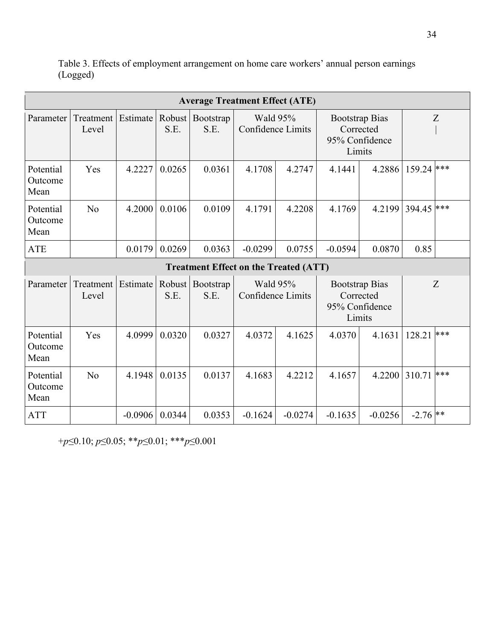| <b>Average Treatment Effect (ATE)</b>        |                    |          |                |                   |                                      |        |                                                                |        |        |     |
|----------------------------------------------|--------------------|----------|----------------|-------------------|--------------------------------------|--------|----------------------------------------------------------------|--------|--------|-----|
| Parameter                                    | Treatment<br>Level | Estimate | Robust<br>S.E. | Bootstrap<br>S.E. | Wald 95%<br><b>Confidence Limits</b> |        | <b>Bootstrap Bias</b><br>Corrected<br>95% Confidence<br>Limits |        | Z      |     |
| Potential<br>Outcome<br>Mean                 | Yes                | 4.2227   | 0.0265         | 0.0361            | 4.1708                               | 4.2747 | 4.1441                                                         | 4.2886 | 159.24 | *** |
| Potential<br>Outcome<br>Mean                 | No                 | 4.2000   | 0.0106         | 0.0109            | 4.1791                               | 4.2208 | 4.1769                                                         | 4.2199 | 394.45 | *** |
| <b>ATE</b>                                   |                    | 0.0179   | 0.0269         | 0.0363            | $-0.0299$                            | 0.0755 | $-0.0594$                                                      | 0.0870 | 0.85   |     |
| <b>Treatment Effect on the Treated (ATT)</b> |                    |          |                |                   |                                      |        |                                                                |        |        |     |
| Parameter                                    | Treatment<br>Level | Estimate | Robust<br>S.E. | Bootstrap<br>S.E. | Wald 95%<br><b>Confidence Limits</b> |        | <b>Bootstrap Bias</b><br>Corrected<br>95% Confidence<br>Limits |        | Z      |     |
| Potential<br>Outcome<br>Mean                 | Yes                | 4.0999   | 0.0320         | 0.0327            | 4.0372                               | 4.1625 | 4.0370                                                         | 4.1631 | 128.21 | *** |
| Potential<br>Outcome<br>Mean                 | No                 | 4.1948   | 0.0135         | 0.0137            | 4.1683                               | 4.2212 | 4.1657                                                         | 4.2200 | 310.71 | *** |
|                                              |                    |          |                |                   |                                      |        |                                                                |        |        |     |

Table 3. Effects of employment arrangement on home care workers' annual person earnings (Logged)

+*p*≤0.10; *p*≤0.05; \*\**p*≤0.01; \*\*\**p*≤0.001